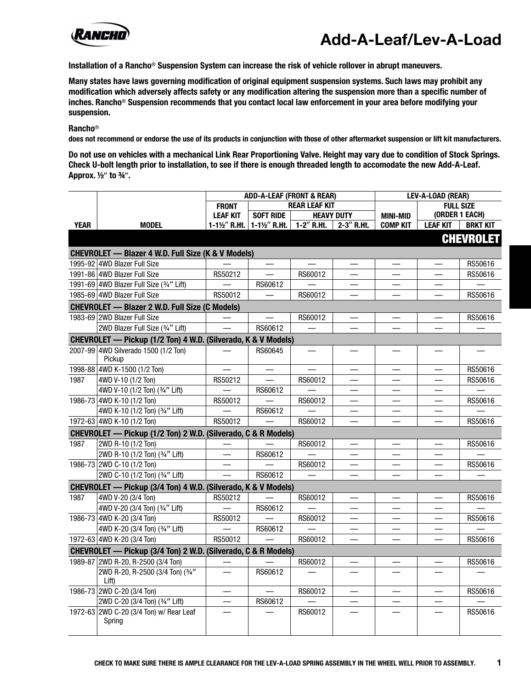

**Installation of a Rancho**® **Suspension System can increase the risk of vehicle rollover in abrupt maneuvers.**

**Many states have laws governing modification of original equipment suspension systems. Such laws may prohibit any modification which adversely affects safety or any modification altering the suspension more than a specific number of inches. Rancho**® **Suspension recommends that you contact local law enforcement in your area before modifying your suspension.**

**Rancho**®

**does not recommend or endorse the use of its products in conjunction with those of other aftermarket suspension or lift kit manufacturers.**

**Do not use on vehicles with a mechanical Link Rear Proportioning Valve. Height may vary due to condition of Stock Springs. Check U-bolt length prior to installation, to see if there is enough threaded length to accomodate the new Add-A-Leaf. Approx. ½**Î **to ¾**Î**.**

|             |                                                               | <b>ADD-A-LEAF (FRONT &amp; REAR)</b> |                          | LEV-A-LOAD (REAR) |                          |                  |                               |                  |
|-------------|---------------------------------------------------------------|--------------------------------------|--------------------------|-------------------|--------------------------|------------------|-------------------------------|------------------|
|             |                                                               | <b>REAR LEAF KIT</b><br><b>FRONT</b> |                          |                   |                          | <b>FULL SIZE</b> |                               |                  |
|             |                                                               | <b>LEAF KIT</b>                      | <b>SOFT RIDE</b>         | <b>HEAVY DUTY</b> |                          | <b>MINI-MID</b>  | (ORDER 1 EACH)                |                  |
| <b>YEAR</b> | <b>MODEL</b>                                                  | 1-1 $\frac{1}{2}$ R.Ht.              | 1-11/2" R.Ht.            | $1-2$ " R.Ht.     | $2-3''$ R.Ht.            | <b>COMP KIT</b>  | <b>LEAF KIT</b>               | <b>BRKT KIT</b>  |
|             |                                                               |                                      |                          |                   |                          |                  |                               | <b>CHEVROLET</b> |
|             | <b>CHEVROLET - Blazer 4 W.D. Full Size (K &amp; V Models)</b> |                                      |                          |                   |                          |                  |                               |                  |
|             | 1995-92 4WD Blazer Full Size                                  |                                      |                          |                   | $\qquad \qquad$          | $\equiv$         | $\qquad \qquad$               | RS50616          |
|             | 1991-86 4WD Blazer Full Size                                  | RS50212                              |                          | RS60012           |                          |                  |                               | RS50616          |
|             | 1991-69 4WD Blazer Full Size (3/4" Lift)                      |                                      | RS60612                  |                   |                          |                  |                               |                  |
|             | 1985-69 4WD Blazer Full Size                                  | RS50012                              |                          | RS60012           |                          |                  |                               | RS50616          |
|             | <b>CHEVROLET - Blazer 2 W.D. Full Size (C Models)</b>         |                                      |                          |                   |                          |                  |                               |                  |
|             | 1983-69 2WD Blazer Full Size                                  |                                      |                          | RS60012           |                          |                  |                               | RS50616          |
|             | 2WD Blazer Full Size (3/4" Lift)                              |                                      | RS60612                  |                   |                          |                  |                               |                  |
|             | CHEVROLET — Pickup (1/2 Ton) 4 W.D. (Silverado, K & V Models) |                                      |                          |                   |                          |                  |                               |                  |
|             | 2007-99 4WD Silverado 1500 (1/2 Ton)<br>Pickup                |                                      | RS60645                  |                   |                          |                  |                               |                  |
|             | 1998-88 4WD K-1500 (1/2 Ton)                                  |                                      |                          |                   | $\qquad \qquad \qquad$   |                  |                               | RS50616          |
| 1987        | 4WD V-10 (1/2 Ton)                                            | RS50212                              | $\overline{\phantom{0}}$ | RS60012           | —                        |                  |                               | RS50616          |
|             | 4WD V-10 (1/2 Ton) (3/4" Lift)                                |                                      | RS60612                  |                   |                          |                  |                               |                  |
|             | 1986-73 4WD K-10 (1/2 Ton)                                    | RS50012                              |                          | RS60012           | $\equiv$                 |                  | $\overline{\phantom{0}}$      | RS50616          |
|             | 4WD K-10 (1/2 Ton) (3/4" Lift)                                |                                      | RS60612                  |                   |                          |                  |                               |                  |
|             | 1972-63 4WD K-10 (1/2 Ton)                                    | RS50012                              |                          | RS60012           |                          |                  |                               | RS50616          |
|             | CHEVROLET - Pickup (1/2 Ton) 2 W.D. (Silverado, C & R Models) |                                      |                          |                   |                          |                  |                               |                  |
| 1987        | 2WD R-10 (1/2 Ton)                                            |                                      |                          | RS60012           |                          |                  |                               | RS50616          |
|             | 2WD R-10 (1/2 Ton) (3/4" Lift)                                | $\equiv$                             | RS60612                  |                   | $\equiv$                 |                  | $\sim$                        |                  |
|             | 1986-73 2WD C-10 (1/2 Ton)                                    |                                      |                          | RS60012           |                          |                  | $\overbrace{\phantom{13333}}$ | RS50616          |
|             | 2WD C-10 (1/2 Ton) (3/4" Lift)                                | $\equiv$                             | RS60612                  |                   |                          |                  | $\overline{\phantom{0}}$      |                  |
|             | CHEVROLET - Pickup (3/4 Ton) 4 W.D. (Silverado, K & V Models) |                                      |                          |                   |                          |                  |                               |                  |
| 1987        | 4WD V-20 (3/4 Ton)                                            | RS50212                              |                          | RS60012           |                          |                  |                               | RS50616          |
|             | 4WD V-20 (3/4 Ton) (3/4" Lift)                                |                                      | RS60612                  |                   |                          |                  |                               |                  |
|             | 1986-73 4WD K-20 (3/4 Ton)                                    | RS50012                              |                          | RS60012           |                          |                  |                               | RS50616          |
|             | 4WD K-20 (3/4 Ton) (3/4" Lift)                                |                                      | RS60612                  |                   |                          |                  |                               |                  |
|             | 1972-63 4WD K-20 (3/4 Ton)                                    | RS50012                              |                          | RS60012           |                          |                  |                               | RS50616          |
|             | CHEVROLET - Pickup (3/4 Ton) 2 W.D. (Silverado, C & R Models) |                                      |                          |                   |                          |                  |                               |                  |
|             | 1989-87 2WD R-20, R-2500 (3/4 Ton)                            |                                      |                          | RS60012           |                          |                  |                               | RS50616          |
|             | 2WD R-20, R-2500 (3/4 Ton) (3/4"<br>Lift)                     | $\overline{\phantom{0}}$             | RS60612                  |                   |                          |                  |                               |                  |
|             | 1986-73 2WD C-20 (3/4 Ton)                                    | $\overline{\phantom{0}}$             | $\equiv$                 | RS60012           | $\equiv$                 |                  |                               | RS50616          |
|             | 2WD C-20 (3/4 Ton) (3/4" Lift)                                |                                      | RS60612                  |                   |                          |                  |                               |                  |
|             | 1972-63 2WD C-20 (3/4 Ton) w/ Rear Leaf<br>Spring             |                                      |                          | RS60012           | $\overline{\phantom{0}}$ |                  | $\overline{\phantom{a}}$      | RS50616          |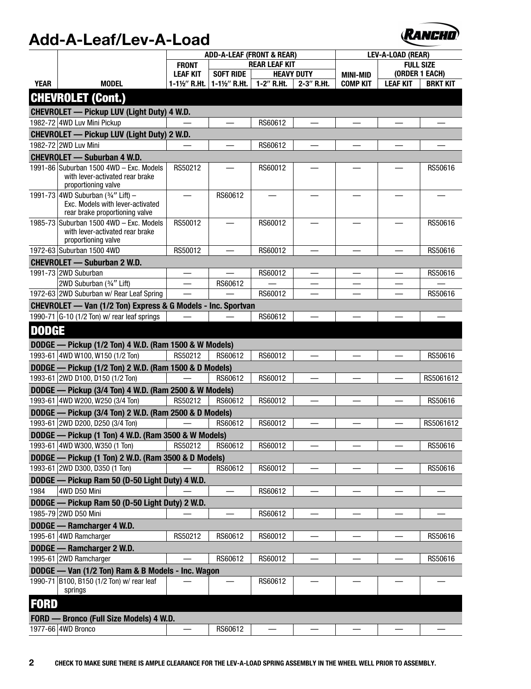

|              |                                                                                                          | <b>ADD-A-LEAF (FRONT &amp; REAR)</b> |                          |                      | LEV-A-LOAD (REAR)        |                          |                          |                 |
|--------------|----------------------------------------------------------------------------------------------------------|--------------------------------------|--------------------------|----------------------|--------------------------|--------------------------|--------------------------|-----------------|
|              |                                                                                                          | <b>FRONT</b>                         |                          | <b>REAR LEAF KIT</b> |                          | <b>FULL SIZE</b>         |                          |                 |
|              |                                                                                                          | <b>LEAF KIT</b>                      | <b>SOFT RIDE</b>         |                      | <b>HEAVY DUTY</b>        | <b>MINI-MID</b>          | (ORDER 1 EACH)           |                 |
| <b>YEAR</b>  | <b>MODEL</b>                                                                                             | 1-1½" R.Ht.                          | 1-11/2" R.Ht.            | 1-2" R.Ht.           | 2-3" R.Ht.               | <b>COMP KIT</b>          | <b>LEAF KIT</b>          | <b>BRKT KIT</b> |
|              | <b>CHEVROLET (Cont.)</b>                                                                                 |                                      |                          |                      |                          |                          |                          |                 |
|              | <b>CHEVROLET — Pickup LUV (Light Duty) 4 W.D.</b>                                                        |                                      |                          |                      |                          |                          |                          |                 |
|              | 1982-72 4WD Luv Mini Pickup                                                                              |                                      |                          | RS60612              |                          |                          |                          |                 |
|              | <b>CHEVROLET — Pickup LUV (Light Duty) 2 W.D.</b>                                                        |                                      |                          |                      |                          |                          |                          |                 |
|              | 1982-72 2WD Luv Mini                                                                                     |                                      |                          | RS60612              | $\overline{\phantom{0}}$ |                          |                          |                 |
|              | <b>CHEVROLET - Suburban 4 W.D.</b>                                                                       |                                      |                          |                      |                          |                          |                          |                 |
|              | 1991-86 Suburban 1500 4WD - Exc. Models<br>with lever-activated rear brake<br>proportioning valve        | RS50212                              |                          | RS60012              |                          |                          |                          | RS50616         |
|              | 1991-73 4WD Suburban (3/4" Lift) -<br>Exc. Models with lever-activated<br>rear brake proportioning valve |                                      | RS60612                  |                      |                          |                          |                          |                 |
|              | 1985-73 Suburban 1500 4WD - Exc. Models<br>with lever-activated rear brake<br>proportioning valve        | RS50012                              |                          | RS60012              |                          |                          |                          | RS50616         |
|              | 1972-63 Suburban 1500 4WD                                                                                | RS50012                              |                          | RS60012              | $\overline{\phantom{0}}$ |                          |                          | RS50616         |
|              | <b>CHEVROLET - Suburban 2 W.D.</b>                                                                       |                                      |                          |                      |                          |                          |                          |                 |
|              | 1991-73 2WD Suburban                                                                                     | $\qquad \qquad$                      | $\overline{\phantom{0}}$ | RS60012              |                          | $\overline{\phantom{0}}$ | $\overline{\phantom{0}}$ | RS50616         |
|              | 2WD Suburban (3/4" Lift)                                                                                 | $\overline{\phantom{0}}$             | RS60612                  |                      | $\overline{\phantom{0}}$ | $\overline{\phantom{0}}$ |                          |                 |
|              | 1972-63 2WD Suburban w/ Rear Leaf Spring                                                                 |                                      |                          | RS60012              |                          |                          |                          | RS50616         |
|              | CHEVROLET - Van (1/2 Ton) Express & G Models - Inc. Sportvan                                             |                                      |                          |                      |                          |                          |                          |                 |
|              | 1990-71 $ G-10(1/2)$ Ton) w/ rear leaf springs                                                           |                                      |                          | RS60612              | $\overline{\phantom{0}}$ |                          |                          |                 |
| <b>DODGE</b> |                                                                                                          |                                      |                          |                      |                          |                          |                          |                 |
|              | DODGE - Pickup (1/2 Ton) 4 W.D. (Ram 1500 & W Models)                                                    |                                      |                          |                      |                          |                          |                          |                 |
|              | 1993-61 4WD W100, W150 (1/2 Ton)                                                                         | RS50212                              | RS60612                  | RS60012              |                          |                          |                          | RS50616         |
|              | DODGE - Pickup (1/2 Ton) 2 W.D. (Ram 1500 & D Models)                                                    |                                      |                          |                      |                          |                          |                          |                 |
|              | 1993-61 2WD D100, D150 (1/2 Ton)                                                                         |                                      | RS60612                  | RS60012              |                          |                          |                          | RS5061612       |
|              | DODGE - Pickup (3/4 Ton) 4 W.D. (Ram 2500 & W Models)                                                    |                                      |                          |                      |                          |                          |                          |                 |
|              | 1993-61 4WD W200, W250 (3/4 Ton)                                                                         | RS50212                              | RS60612                  | RS60012              |                          |                          |                          | RS50616         |
|              | DODGE - Pickup (3/4 Ton) 2 W.D. (Ram 2500 & D Models)                                                    |                                      |                          |                      |                          |                          |                          |                 |
|              | 1993-61 2WD D200, D250 (3/4 Ton)                                                                         |                                      | RS60612                  | RS60012              |                          |                          |                          | RS5061612       |
|              | DODGE - Pickup (1 Ton) 4 W.D. (Ram 3500 & W Models)                                                      |                                      |                          |                      |                          |                          |                          |                 |
|              | 1993-61   4WD W300, W350 (1 Ton)                                                                         | RS50212                              | RS60612                  | RS60012              |                          |                          |                          | RS50616         |
|              | DODGE - Pickup (1 Ton) 2 W.D. (Ram 3500 & D Models)                                                      |                                      |                          |                      |                          |                          |                          |                 |
|              | 1993-61 2WD D300, D350 (1 Ton)                                                                           |                                      | RS60612                  | RS60012              |                          |                          |                          | RS50616         |
|              | DODGE - Pickup Ram 50 (D-50 Light Duty) 4 W.D.                                                           |                                      |                          |                      |                          |                          |                          |                 |
| 1984         | 4WD D50 Mini                                                                                             |                                      |                          | RS60612              |                          |                          |                          |                 |
|              | DODGE - Pickup Ram 50 (D-50 Light Duty) 2 W.D.                                                           |                                      |                          |                      |                          |                          |                          |                 |
|              | 1985-79 2WD D50 Mini                                                                                     |                                      |                          | RS60612              |                          |                          |                          |                 |
|              | DODGE - Ramcharger 4 W.D.<br>1995-61 4WD Ramcharger                                                      | RS50212                              |                          |                      |                          |                          |                          |                 |
|              |                                                                                                          |                                      | RS60612                  | RS60012              |                          |                          |                          | RS50616         |
|              | DODGE - Ramcharger 2 W.D.<br>1995-61 2WD Ramcharger                                                      |                                      | RS60612                  | RS60012              |                          |                          |                          | RS50616         |
|              | DODGE - Van (1/2 Ton) Ram & B Models - Inc. Wagon                                                        |                                      |                          |                      |                          |                          |                          |                 |
|              | 1990-71 B100, B150 (1/2 Ton) w/ rear leaf                                                                |                                      |                          | RS60612              |                          |                          |                          |                 |
|              | springs                                                                                                  |                                      |                          |                      |                          |                          |                          |                 |
| <b>FORD</b>  |                                                                                                          |                                      |                          |                      |                          |                          |                          |                 |
|              | FORD - Bronco (Full Size Models) 4 W.D.                                                                  |                                      |                          |                      |                          |                          |                          |                 |
|              | 1977-66 4WD Bronco                                                                                       |                                      | RS60612                  |                      |                          |                          |                          |                 |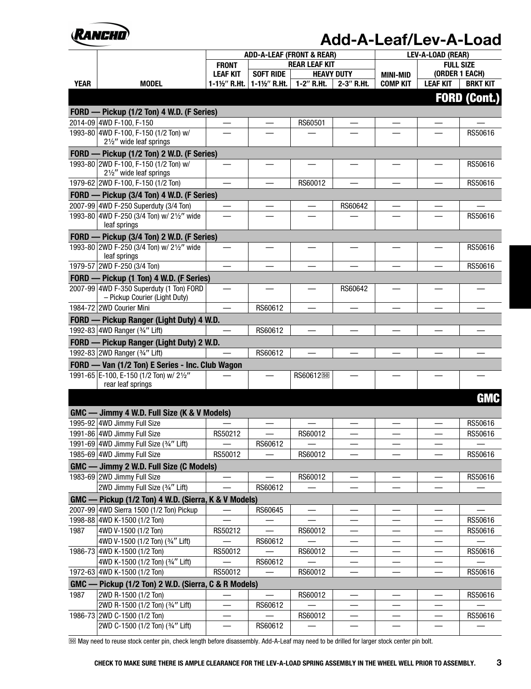

|             |                                                                                      |                          |                          | <b>ADD-A-LEAF (FRONT &amp; REAR)</b> |                          | LEV-A-LOAD (REAR)        |                                |                          |
|-------------|--------------------------------------------------------------------------------------|--------------------------|--------------------------|--------------------------------------|--------------------------|--------------------------|--------------------------------|--------------------------|
|             |                                                                                      | <b>FRONT</b>             |                          | <b>REAR LEAF KIT</b>                 |                          |                          | <b>FULL SIZE</b>               |                          |
|             |                                                                                      | <b>LEAF KIT</b>          | <b>SOFT RIDE</b>         | <b>HEAVY DUTY</b>                    |                          | <b>MINI-MID</b>          | (ORDER 1 EACH)                 |                          |
| <b>YEAR</b> | <b>MODEL</b>                                                                         | 1-11/2" R.Ht.            | 1-11/2" R.Ht.            | 1-2" R.Ht.                           | 2-3" R.Ht.               | <b>COMP KIT</b>          | <b>LEAF KIT</b>                | <b>BRKT KIT</b>          |
|             |                                                                                      |                          |                          |                                      |                          |                          |                                | <b>FORD (Cont.)</b>      |
|             | FORD - Pickup (1/2 Ton) 4 W.D. (F Series)                                            |                          |                          |                                      |                          |                          |                                |                          |
|             | 2014-09 4WD F-100, F-150                                                             | $\overline{\phantom{m}}$ |                          | RS60501                              |                          |                          |                                |                          |
|             | 1993-80 4WD F-100, F-150 (1/2 Ton) w/<br>21/2" wide leaf springs                     |                          |                          |                                      |                          |                          |                                | RS50616                  |
|             | FORD - Pickup (1/2 Ton) 2 W.D. (F Series)                                            |                          |                          |                                      |                          |                          |                                |                          |
|             | 1993-80 2WD F-100, F-150 (1/2 Ton) w/<br>21/2" wide leaf springs                     |                          |                          |                                      |                          |                          |                                | RS50616                  |
|             | 1979-62 2WD F-100, F-150 (1/2 Ton)                                                   | $\overline{\phantom{0}}$ |                          | RS60012                              | $\overline{\phantom{0}}$ |                          |                                | RS50616                  |
|             | FORD - Pickup (3/4 Ton) 4 W.D. (F Series)                                            |                          |                          |                                      |                          |                          |                                |                          |
|             | 2007-99 4WD F-250 Superduty (3/4 Ton)                                                |                          |                          |                                      | RS60642                  |                          |                                |                          |
|             | 1993-80 4WD F-250 (3/4 Ton) w/ 21/2" wide<br>leaf springs                            |                          |                          |                                      |                          |                          |                                | RS50616                  |
|             | FORD - Pickup (3/4 Ton) 2 W.D. (F Series)                                            |                          |                          |                                      |                          |                          |                                |                          |
|             | 1993-80 2WD F-250 (3/4 Ton) w/ 21/2" wide<br>leaf springs                            |                          |                          |                                      |                          |                          |                                | RS50616                  |
|             | 1979-57 2WD F-250 (3/4 Ton)                                                          | $\overline{\phantom{0}}$ |                          |                                      |                          |                          |                                | RS50616                  |
|             | FORD - Pickup (1 Ton) 4 W.D. (F Series)                                              |                          |                          |                                      |                          |                          |                                |                          |
|             | 2007-99 4WD F-350 Superduty (1 Ton) FORD<br>- Pickup Courier (Light Duty)            | $\overline{\phantom{0}}$ |                          | —                                    | RS60642                  |                          |                                | $\overline{\phantom{0}}$ |
|             | 1984-72 2WD Courier Mini                                                             |                          | RS60612                  |                                      |                          |                          |                                |                          |
|             | FORD - Pickup Ranger (Light Duty) 4 W.D.                                             |                          |                          |                                      |                          |                          |                                |                          |
|             | 1992-83 4WD Ranger (3/4" Lift)                                                       |                          | RS60612                  |                                      |                          |                          |                                |                          |
|             | FORD - Pickup Ranger (Light Duty) 2 W.D.                                             |                          |                          |                                      |                          |                          |                                |                          |
|             | 1992-83 2WD Ranger (3/4" Lift)                                                       |                          | RS60612                  |                                      |                          |                          |                                |                          |
|             | FORD - Van (1/2 Ton) E Series - Inc. Club Wagon                                      |                          |                          |                                      |                          |                          |                                |                          |
|             | 1991-65 E-100, E-150 (1/2 Ton) w/ 21/2"<br>rear leaf springs                         |                          |                          | RS6061250                            |                          |                          |                                |                          |
|             |                                                                                      |                          |                          |                                      |                          |                          |                                | <b>GMC</b>               |
|             | GMC - Jimmy 4 W.D. Full Size (K & V Models)                                          |                          |                          |                                      |                          |                          |                                |                          |
|             | 1995-92 4WD Jimmy Full Size                                                          |                          |                          |                                      |                          |                          |                                | RS50616                  |
|             | 1991-86 4WD Jimmy Full Size                                                          | RS50212                  |                          | RS60012                              |                          |                          |                                | RS50616                  |
|             | 1991-69 4WD Jimmy Full Size (3/4" Lift)                                              |                          | RS60612                  |                                      |                          |                          |                                |                          |
|             | 1985-69 4WD Jimmy Full Size                                                          | RS50012                  |                          | RS60012                              |                          |                          |                                | RS50616                  |
|             | GMC - Jimmy 2 W.D. Full Size (C Models)                                              |                          |                          |                                      |                          |                          |                                |                          |
|             | 1983-69 2WD Jimmy Full Size                                                          |                          |                          | RS60012                              |                          |                          |                                | RS50616                  |
|             | 2WD Jimmy Full Size (3/4" Lift)                                                      |                          | RS60612                  |                                      |                          |                          |                                |                          |
|             | GMC - Pickup (1/2 Ton) 4 W.D. (Sierra, K & V Models)                                 |                          |                          |                                      |                          |                          |                                |                          |
|             | 2007-99 4WD Sierra 1500 (1/2 Ton) Pickup                                             |                          | RS60645                  |                                      |                          |                          |                                |                          |
|             | 1998-88 4WD K-1500 (1/2 Ton)                                                         |                          |                          |                                      | —                        |                          |                                | RS50616                  |
| 1987        | 4WD V-1500 (1/2 Ton)                                                                 | RS50212                  | $\overline{\phantom{0}}$ | RS60012                              | —                        |                          |                                | RS50616                  |
|             | 4WD V-1500 (1/2 Ton) (3/4" Lift)                                                     |                          | RS60612                  |                                      | —                        | —                        | —                              |                          |
|             | 1986-73 4WD K-1500 (1/2 Ton)                                                         | RS50012                  |                          | RS60012                              |                          | $\overline{\phantom{0}}$ |                                | RS50616                  |
|             | 4WD K-1500 (1/2 Ton) (3/4" Lift)                                                     | RS50012                  | RS60612                  | RS60012                              |                          |                          | $\overline{\phantom{0}}$       | RS50616                  |
|             | 1972-63 4WD K-1500 (1/2 Ton)<br>GMC - Pickup (1/2 Ton) 2 W.D. (Sierra, C & R Models) |                          |                          |                                      |                          |                          |                                |                          |
| 1987        | 2WD R-1500 (1/2 Ton)                                                                 |                          |                          | RS60012                              |                          |                          |                                | RS50616                  |
|             | 2WD R-1500 (1/2 Ton) (3/4" Lift)                                                     | —                        | RS60612                  |                                      |                          |                          |                                |                          |
|             | 1986-73 2WD C-1500 (1/2 Ton)                                                         |                          |                          | RS60012                              |                          |                          |                                | RS50616                  |
|             | 2WD C-1500 (1/2 Ton) (3/4" Lift)                                                     | $\qquad \qquad$          | RS60612                  |                                      | $\overline{\phantom{0}}$ | —                        | $\qquad \qquad \longleftarrow$ |                          |

[½¸] May need to reuse stock center pin, check length before disassembly. Add-A-Leaf may need to be drilled for larger stock center pin bolt.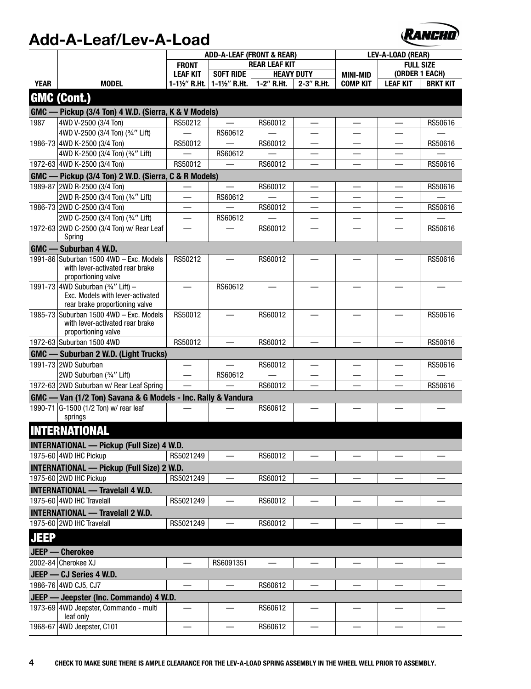

|             |                                                                                                          | <b>ADD-A-LEAF (FRONT &amp; REAR)</b> |                          |                          | LEV-A-LOAD (REAR)        |                               |                  |                 |
|-------------|----------------------------------------------------------------------------------------------------------|--------------------------------------|--------------------------|--------------------------|--------------------------|-------------------------------|------------------|-----------------|
|             |                                                                                                          | <b>FRONT</b>                         |                          | <b>REAR LEAF KIT</b>     |                          |                               | <b>FULL SIZE</b> |                 |
|             |                                                                                                          | <b>LEAF KIT</b>                      | <b>SOFT RIDE</b>         |                          | <b>HEAVY DUTY</b>        | <b>MINI-MID</b>               | (ORDER 1 EACH)   |                 |
| <b>YEAR</b> | <b>MODEL</b>                                                                                             | 1-1½" R.Ht.                          | 1-1½" R.Ht.              | 1-2" R.Ht.               | 2-3" R.Ht.               | <b>COMP KIT</b>               | <b>LEAF KIT</b>  | <b>BRKT KIT</b> |
|             | <b>GMC (Cont.)</b>                                                                                       |                                      |                          |                          |                          |                               |                  |                 |
|             | GMC — Pickup (3/4 Ton) 4 W.D. (Sierra, K & V Models)                                                     |                                      |                          |                          |                          |                               |                  |                 |
| 1987        | 4WD V-2500 (3/4 Ton)                                                                                     | RS50212                              | $\overline{\phantom{0}}$ | RS60012                  |                          |                               |                  | RS50616         |
|             | 4WD V-2500 (3/4 Ton) (3/4" Lift)                                                                         |                                      | RS60612                  |                          |                          |                               |                  |                 |
|             | 1986-73 4WD K-2500 (3/4 Ton)                                                                             | RS50012                              |                          | RS60012                  |                          |                               |                  | RS50616         |
|             | 4WD K-2500 (3/4 Ton) (3/4" Lift)                                                                         |                                      | RS60612                  |                          |                          |                               |                  |                 |
|             | 1972-63 4WD K-2500 (3/4 Ton)                                                                             | RS50012                              | $\overline{\phantom{0}}$ | RS60012                  | $\overline{\phantom{0}}$ |                               |                  | RS50616         |
|             |                                                                                                          |                                      |                          |                          |                          |                               |                  |                 |
|             | GMC - Pickup (3/4 Ton) 2 W.D. (Sierra, C & R Models)<br>1989-87 2WD R-2500 (3/4 Ton)                     |                                      |                          |                          |                          |                               |                  |                 |
|             |                                                                                                          |                                      | $\overline{\phantom{0}}$ | RS60012                  | $\overline{\phantom{0}}$ | —<br>$\overline{\phantom{0}}$ |                  | RS50616         |
|             | 2WD R-2500 (3/4 Ton) (3/4" Lift)<br>1986-73 2WD C-2500 (3/4 Ton)                                         | $\overline{\phantom{0}}$             | RS60612                  | RS60012                  | $\overline{\phantom{0}}$ |                               |                  | RS50616         |
|             | 2WD C-2500 (3/4 Ton) (3/4" Lift)                                                                         | —                                    | RS60612                  |                          | —                        |                               |                  |                 |
|             | 1972-63 2WD C-2500 (3/4 Ton) w/ Rear Leaf                                                                |                                      |                          | RS60012                  |                          |                               |                  | RS50616         |
|             | Spring                                                                                                   |                                      |                          |                          |                          |                               |                  |                 |
|             | GMC - Suburban 4 W.D.                                                                                    |                                      |                          |                          |                          |                               |                  |                 |
|             | 1991-86 Suburban 1500 4WD - Exc. Models                                                                  | RS50212                              |                          | RS60012                  |                          |                               |                  | RS50616         |
|             | with lever-activated rear brake<br>proportioning valve                                                   |                                      |                          |                          |                          |                               |                  |                 |
|             | 1991-73 4WD Suburban (3/4" Lift) -<br>Exc. Models with lever-activated<br>rear brake proportioning valve | $\overline{\phantom{0}}$             | RS60612                  | $\overline{\phantom{0}}$ |                          |                               |                  |                 |
|             | 1985-73 Suburban 1500 4WD - Exc. Models<br>with lever-activated rear brake<br>proportioning valve        | RS50012                              | $\equiv$                 | RS60012                  |                          |                               |                  | RS50616         |
|             | 1972-63 Suburban 1500 4WD                                                                                | RS50012                              |                          | RS60012                  |                          |                               |                  | RS50616         |
|             | GMC - Suburban 2 W.D. (Light Trucks)                                                                     |                                      |                          |                          |                          |                               |                  |                 |
|             | 1991-73 2WD Suburban                                                                                     | $\qquad \qquad$                      |                          | RS60012                  |                          |                               |                  | RS50616         |
|             | 2WD Suburban (3/4" Lift)                                                                                 |                                      | RS60612                  |                          |                          |                               |                  |                 |
|             | 1972-63 2WD Suburban w/ Rear Leaf Spring                                                                 |                                      |                          | RS60012                  |                          |                               |                  | RS50616         |
|             | GMC - Van (1/2 Ton) Savana & G Models - Inc. Rally & Vandura                                             |                                      |                          |                          |                          |                               |                  |                 |
|             | 1990-71 G-1500 (1/2 Ton) w/ rear leaf<br>springs                                                         |                                      |                          | RS60612                  |                          |                               |                  |                 |
|             | <b>INTERNATIONAL</b>                                                                                     |                                      |                          |                          |                          |                               |                  |                 |
|             | <b>INTERNATIONAL — Pickup (Full Size) 4 W.D.</b>                                                         |                                      |                          |                          |                          |                               |                  |                 |
|             | 1975-60 4WD IHC Pickup                                                                                   | RS5021249                            |                          | RS60012                  |                          |                               |                  |                 |
|             | <b>INTERNATIONAL — Pickup (Full Size) 2 W.D.</b>                                                         |                                      |                          |                          |                          |                               |                  |                 |
|             | 1975-60 2WD IHC Pickup                                                                                   | RS5021249                            |                          | RS60012                  | $\equiv$                 |                               |                  |                 |
|             | <b>INTERNATIONAL - Travelall 4 W.D.</b>                                                                  |                                      |                          |                          |                          |                               |                  |                 |
|             | 1975-60 4WD IHC Travelall                                                                                | RS5021249                            |                          | RS60012                  |                          |                               |                  |                 |
|             | <b>INTERNATIONAL - Travelall 2 W.D.</b>                                                                  |                                      |                          |                          |                          |                               |                  |                 |
|             | 1975-60 2WD IHC Travelall                                                                                | RS5021249                            |                          | RS60012                  |                          |                               |                  |                 |
| <b>JEEP</b> |                                                                                                          |                                      |                          |                          |                          |                               |                  |                 |
|             |                                                                                                          |                                      |                          |                          |                          |                               |                  |                 |
|             | JEEP - Cherokee                                                                                          |                                      |                          |                          |                          |                               |                  |                 |
|             | 2002-84 Cherokee XJ                                                                                      | $\overline{\phantom{0}}$             | RS6091351                |                          | —                        |                               |                  |                 |
|             | JEEP - CJ Series 4 W.D.                                                                                  |                                      |                          |                          |                          |                               |                  |                 |
|             | 1986-76 4WD CJ5, CJ7                                                                                     |                                      |                          | RS60612                  |                          |                               |                  |                 |
|             | JEEP - Jeepster (Inc. Commando) 4 W.D.                                                                   |                                      |                          |                          |                          |                               |                  |                 |
|             | 1973-69 4WD Jeepster, Commando - multi<br>leaf only                                                      |                                      |                          | RS60612                  |                          |                               |                  |                 |
|             | 1968-67 4WD Jeepster, C101                                                                               |                                      |                          | RS60612                  |                          |                               |                  |                 |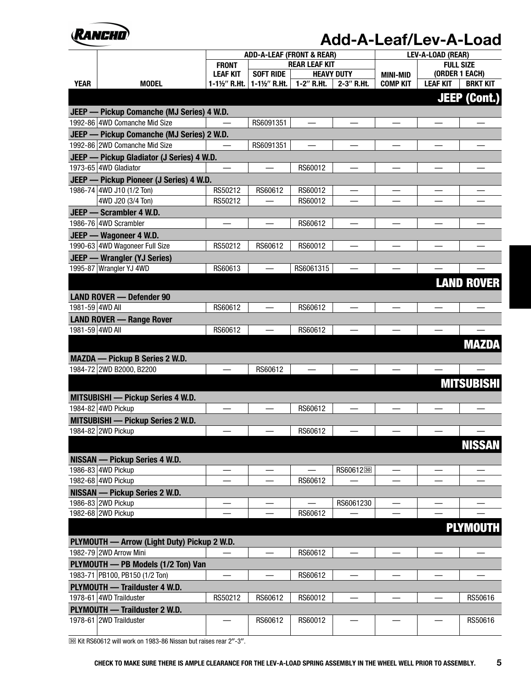

|                 |                                                                      |                          | <b>ADD-A-LEAF (FRONT &amp; REAR)</b> |                          |                                | LEV-A-LOAD (REAR) |                  |                     |  |
|-----------------|----------------------------------------------------------------------|--------------------------|--------------------------------------|--------------------------|--------------------------------|-------------------|------------------|---------------------|--|
|                 |                                                                      |                          |                                      | <b>REAR LEAF KIT</b>     |                                |                   | <b>FULL SIZE</b> |                     |  |
|                 |                                                                      | <b>LEAF KIT</b>          | <b>SOFT RIDE</b>                     | <b>HEAVY DUTY</b>        |                                | <b>MINI-MID</b>   | (ORDER 1 EACH)   |                     |  |
| <b>YEAR</b>     | <b>MODEL</b>                                                         | 1-1½" R.Ht.              | 1-1½" R.Ht.                          | 1-2" R.Ht.               | 2-3" R.Ht.                     | <b>COMP KIT</b>   | <b>LEAF KIT</b>  | <b>BRKT KIT</b>     |  |
|                 |                                                                      |                          |                                      |                          |                                |                   |                  | <b>JEEP (Cont.)</b> |  |
|                 | JEEP - Pickup Comanche (MJ Series) 4 W.D.                            |                          |                                      |                          |                                |                   |                  |                     |  |
|                 | 1992-86 4WD Comanche Mid Size                                        |                          | RS6091351                            |                          |                                |                   |                  |                     |  |
|                 | JEEP - Pickup Comanche (MJ Series) 2 W.D.                            |                          |                                      |                          |                                |                   |                  |                     |  |
|                 | 1992-86 2WD Comanche Mid Size                                        |                          | RS6091351                            |                          |                                |                   |                  |                     |  |
|                 | JEEP - Pickup Gladiator (J Series) 4 W.D.                            |                          |                                      |                          |                                |                   |                  |                     |  |
|                 | 1973-65 4WD Gladiator                                                |                          |                                      | RS60012                  |                                |                   |                  |                     |  |
|                 |                                                                      |                          |                                      |                          |                                |                   |                  |                     |  |
|                 | JEEP - Pickup Pioneer (J Series) 4 W.D.<br>1986-74 4WD J10 (1/2 Ton) | RS50212                  | RS60612                              | RS60012                  |                                |                   |                  |                     |  |
|                 | 4WD J20 (3/4 Ton)                                                    | RS50212                  |                                      | RS60012                  |                                |                   |                  |                     |  |
|                 |                                                                      |                          |                                      |                          |                                |                   |                  |                     |  |
|                 | JEEP - Scrambler 4 W.D.<br>1986-76 4WD Scrambler                     |                          |                                      |                          |                                |                   |                  |                     |  |
|                 |                                                                      |                          |                                      | RS60612                  |                                |                   |                  |                     |  |
|                 | JEEP - Wagoneer 4 W.D.                                               |                          |                                      |                          |                                |                   |                  |                     |  |
|                 | 1990-63 4WD Wagoneer Full Size                                       | RS50212                  | RS60612                              | RS60012                  |                                |                   |                  |                     |  |
|                 | JEEP - Wrangler (YJ Series)                                          |                          |                                      |                          |                                |                   |                  |                     |  |
|                 | 1995-87 Wrangler YJ 4WD                                              | RS60613                  |                                      | RS6061315                |                                |                   |                  |                     |  |
|                 |                                                                      |                          |                                      |                          |                                |                   |                  | <b>LAND ROVER</b>   |  |
|                 | <b>LAND ROVER - Defender 90</b>                                      |                          |                                      |                          |                                |                   |                  |                     |  |
| 1981-59 4WD All |                                                                      | RS60612                  |                                      | RS60612                  |                                |                   |                  |                     |  |
|                 | <b>LAND ROVER - Range Rover</b>                                      |                          |                                      |                          |                                |                   |                  |                     |  |
| 1981-59 4WD All |                                                                      | RS60612                  |                                      | RS60612                  |                                |                   |                  |                     |  |
|                 |                                                                      |                          |                                      |                          |                                |                   |                  |                     |  |
|                 |                                                                      |                          |                                      |                          |                                |                   |                  | <b>MAZDA</b>        |  |
|                 | <b>MAZDA — Pickup B Series 2 W.D.</b>                                |                          |                                      |                          |                                |                   |                  |                     |  |
|                 | 1984-72 2WD B2000, B2200                                             | $\overline{\phantom{0}}$ | RS60612                              | $\overline{\phantom{0}}$ | $\overline{\phantom{0}}$       | $\equiv$          |                  |                     |  |
|                 |                                                                      |                          |                                      |                          |                                |                   |                  | <b>MITSUBISHI</b>   |  |
|                 |                                                                      |                          |                                      |                          |                                |                   |                  |                     |  |
|                 | <b>MITSUBISHI — Pickup Series 4 W.D.</b><br>1984-82 4WD Pickup       |                          |                                      | RS60612                  |                                |                   |                  |                     |  |
|                 |                                                                      |                          |                                      |                          |                                |                   |                  |                     |  |
|                 | <b>MITSUBISHI — Pickup Series 2 W.D.</b>                             |                          |                                      |                          |                                |                   |                  |                     |  |
|                 | 1984-82 2WD Pickup                                                   |                          |                                      | RS60612                  |                                |                   |                  |                     |  |
|                 |                                                                      |                          |                                      |                          |                                |                   |                  | <b>NISSAN</b>       |  |
|                 | <b>NISSAN — Pickup Series 4 W.D.</b>                                 |                          |                                      |                          |                                |                   |                  |                     |  |
|                 | 1986-83 4WD Pickup                                                   |                          |                                      |                          | RS6061230                      |                   |                  |                     |  |
|                 | 1982-68 4WD Pickup                                                   |                          |                                      | RS60612                  |                                |                   |                  |                     |  |
|                 | <b>NISSAN — Pickup Series 2 W.D.</b>                                 |                          |                                      |                          |                                |                   |                  |                     |  |
|                 | 1986-83 2WD Pickup                                                   |                          |                                      |                          | RS6061230                      |                   |                  |                     |  |
|                 | 1982-68 2WD Pickup                                                   |                          |                                      | RS60612                  |                                |                   |                  |                     |  |
|                 |                                                                      |                          |                                      |                          |                                |                   |                  |                     |  |
|                 |                                                                      |                          |                                      |                          |                                |                   |                  | <b>PLYMOUTH</b>     |  |
|                 | PLYMOUTH - Arrow (Light Duty) Pickup 2 W.D.                          |                          |                                      |                          |                                |                   |                  |                     |  |
|                 | 1982-79 2WD Arrow Mini                                               |                          |                                      | RS60612                  |                                |                   |                  |                     |  |
|                 | PLYMOUTH - PB Models (1/2 Ton) Van                                   |                          |                                      |                          |                                |                   |                  |                     |  |
|                 | 1983-71 PB100, PB150 (1/2 Ton)                                       | —                        |                                      | RS60612                  | $\qquad \qquad \longleftarrow$ |                   |                  |                     |  |
|                 | PLYMOUTH - Trailduster 4 W.D.                                        |                          |                                      |                          |                                |                   |                  |                     |  |
|                 | 1978-61 4WD Trailduster                                              | RS50212                  | RS60612                              | RS60012                  | $\overline{\phantom{0}}$       |                   |                  | RS50616             |  |
|                 | PLYMOUTH - Trailduster 2 W.D.                                        |                          |                                      |                          |                                |                   |                  |                     |  |
|                 | 1978-61 2WD Trailduster                                              |                          | RS60612                              | RS60012                  |                                |                   |                  | RS50616             |  |
|                 |                                                                      |                          |                                      |                          |                                |                   |                  |                     |  |

 $\overline{30}$  Kit RS60612 will work on 1983-86 Nissan but raises rear 2"-3".